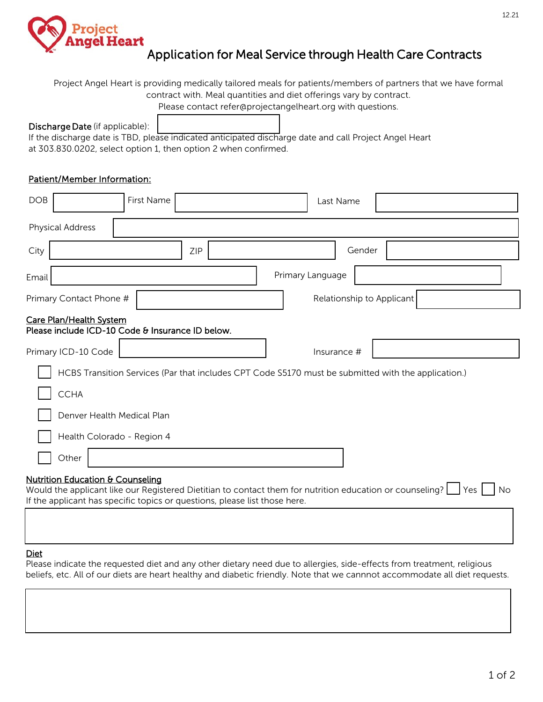

# Application for Meal Service through Health Care Contracts

Project Angel Heart is providing medically tailored meals for patients/members of partners that we have formal contract with. Meal quantities and diet offerings vary by contract.

Please contact refer@projectangelheart.org with questions.

#### Discharge Date (if applicable):

If the discharge date is TBD, please indicated anticipated discharge date and call Project Angel Heart at 303.830.0202, select option 1, then option 2 when confirmed.

### Patient/Member Information:

| <b>DOB</b>                                                                                                                                                                                                                                               |                         | First Name |     |                  | Last Name   |                           |  |
|----------------------------------------------------------------------------------------------------------------------------------------------------------------------------------------------------------------------------------------------------------|-------------------------|------------|-----|------------------|-------------|---------------------------|--|
|                                                                                                                                                                                                                                                          | <b>Physical Address</b> |            |     |                  |             |                           |  |
| City                                                                                                                                                                                                                                                     |                         |            | ZIP |                  |             | Gender                    |  |
| Email                                                                                                                                                                                                                                                    |                         |            |     | Primary Language |             |                           |  |
|                                                                                                                                                                                                                                                          | Primary Contact Phone # |            |     |                  |             | Relationship to Applicant |  |
| Care Plan/Health System<br>Please include ICD-10 Code & Insurance ID below.                                                                                                                                                                              |                         |            |     |                  |             |                           |  |
|                                                                                                                                                                                                                                                          | Primary ICD-10 Code     |            |     |                  | Insurance # |                           |  |
| HCBS Transition Services (Par that includes CPT Code S5170 must be submitted with the application.)                                                                                                                                                      |                         |            |     |                  |             |                           |  |
| <b>CCHA</b>                                                                                                                                                                                                                                              |                         |            |     |                  |             |                           |  |
| Denver Health Medical Plan                                                                                                                                                                                                                               |                         |            |     |                  |             |                           |  |
| Health Colorado - Region 4                                                                                                                                                                                                                               |                         |            |     |                  |             |                           |  |
|                                                                                                                                                                                                                                                          | Other                   |            |     |                  |             |                           |  |
| <b>Nutrition Education &amp; Counseling</b><br>Would the applicant like our Registered Dietitian to contact them for nutrition education or counseling?   Yes<br><b>No</b><br>If the applicant has specific topics or questions, please list those here. |                         |            |     |                  |             |                           |  |

Diet

Please indicate the requested diet and any other dietary need due to allergies, side-effects from treatment, religious beliefs, etc. All of our diets are heart healthy and diabetic friendly. Note that we cannnot accommodate all diet requests.

12.21